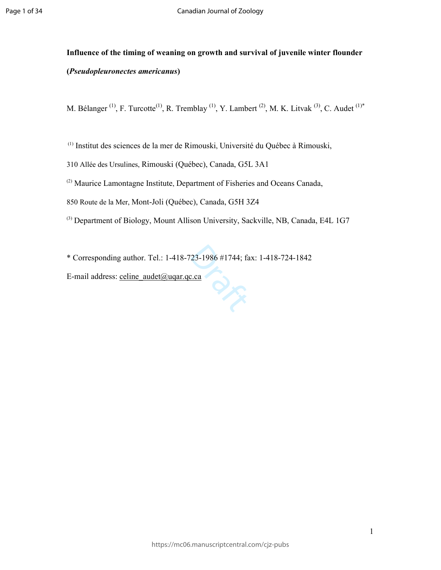**Influence of the timing of weaning on growth and survival of juvenile winter flounder (***Pseudopleuronectes americanus***)** 

M. Bélanger<sup>(1)</sup>, F. Turcotte<sup>(1)</sup>, R. Tremblay<sup>(1)</sup>, Y. Lambert<sup>(2)</sup>, M. K. Litvak<sup>(3)</sup>, C. Audet<sup>(1)\*</sup>

(1) Institut des sciences de la mer de Rimouski, Université du Québec à Rimouski,

310 Allée des Ursulines, Rimouski (Québec), Canada, G5L 3A1

(2) Maurice Lamontagne Institute, Department of Fisheries and Oceans Canada,

850 Route de la Mer, Mont-Joli (Québec), Canada, G5H 3Z4

(3) Department of Biology, Mount Allison University, Sackville, NB, Canada, E4L 1G7

 $\frac{d}{dx}$ 

\* Corresponding author. Tel.: 1-418-723-1986 #1744; fax: 1-418-724-1842

E-mail address: celine\_audet@uqar.qc.ca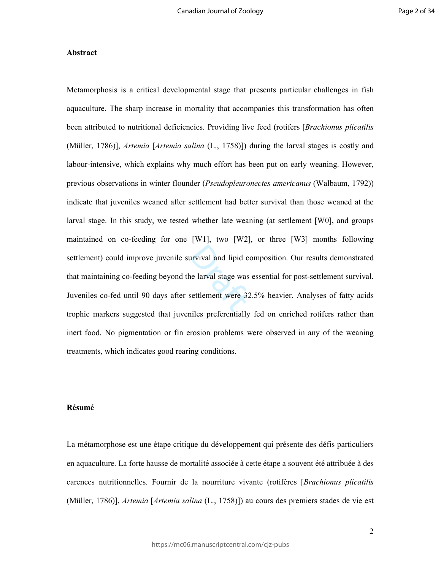### **Abstract**

a and lipid c<br>
e larval stage was<br>
settlement were 32 Metamorphosis is a critical developmental stage that presents particular challenges in fish aquaculture. The sharp increase in mortality that accompanies this transformation has often been attributed to nutritional deficiencies. Providing live feed (rotifers [*Brachionus plicatilis* (Müller, 1786)], *Artemia* [*Artemia salina* (L., 1758)]) during the larval stages is costly and labour-intensive, which explains why much effort has been put on early weaning. However, previous observations in winter flounder (*Pseudopleuronectes americanus* (Walbaum, 1792)) indicate that juveniles weaned after settlement had better survival than those weaned at the larval stage. In this study, we tested whether late weaning (at settlement [W0], and groups maintained on co-feeding for one [W1], two [W2], or three [W3] months following settlement) could improve juvenile survival and lipid composition. Our results demonstrated that maintaining co-feeding beyond the larval stage was essential for post-settlement survival. Juveniles co-fed until 90 days after settlement were 32.5% heavier. Analyses of fatty acids trophic markers suggested that juveniles preferentially fed on enriched rotifers rather than inert food. No pigmentation or fin erosion problems were observed in any of the weaning treatments, which indicates good rearing conditions.

# **Résumé**

La métamorphose est une étape critique du développement qui présente des défis particuliers en aquaculture. La forte hausse de mortalité associée à cette étape a souvent été attribuée à des carences nutritionnelles. Fournir de la nourriture vivante (rotifères [*Brachionus plicatilis* (Müller, 1786)], *Artemia* [*Artemia salina* (L., 1758)]) au cours des premiers stades de vie est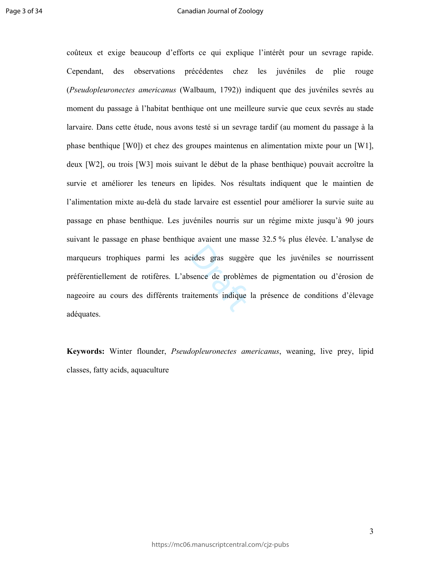cides gras suggères<br>
sence de problèments<br>
itements indique coûteux et exige beaucoup d'efforts ce qui explique l'intérêt pour un sevrage rapide. Cependant, des observations précédentes chez les juvéniles de plie rouge (*Pseudopleuronectes americanus* (Walbaum, 1792)) indiquent que des juvéniles sevrés au moment du passage à l'habitat benthique ont une meilleure survie que ceux sevrés au stade larvaire. Dans cette étude, nous avons testé si un sevrage tardif (au moment du passage à la phase benthique [W0]) et chez des groupes maintenus en alimentation mixte pour un [W1], deux [W2], ou trois [W3] mois suivant le début de la phase benthique) pouvait accroître la survie et améliorer les teneurs en lipides. Nos résultats indiquent que le maintien de l'alimentation mixte au-delà du stade larvaire est essentiel pour améliorer la survie suite au passage en phase benthique. Les juvéniles nourris sur un régime mixte jusqu'à 90 jours suivant le passage en phase benthique avaient une masse 32.5 % plus élevée. L'analyse de marqueurs trophiques parmi les acides gras suggère que les juvéniles se nourrissent préférentiellement de rotifères. L'absence de problèmes de pigmentation ou d'érosion de nageoire au cours des différents traitements indique la présence de conditions d'élevage adéquates.

**Keywords:** Winter flounder, *Pseudopleuronectes americanus*, weaning, live prey, lipid classes, fatty acids, aquaculture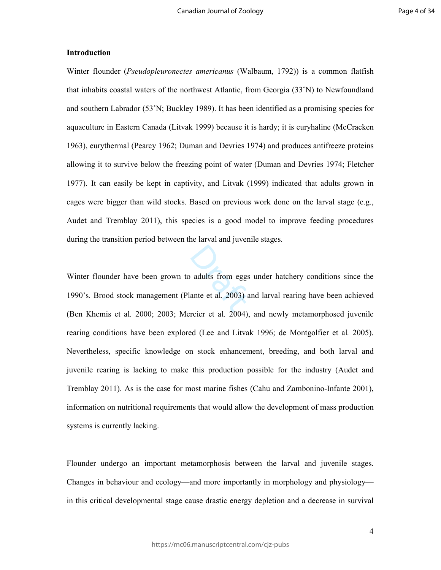## **Introduction**

Winter flounder (*Pseudopleuronectes americanus* (Walbaum, 1792)) is a common flatfish that inhabits coastal waters of the northwest Atlantic, from Georgia (33˚N) to Newfoundland and southern Labrador (53˚N; Buckley 1989). It has been identified as a promising species for aquaculture in Eastern Canada (Litvak 1999) because it is hardy; it is euryhaline (McCracken 1963), eurythermal (Pearcy 1962; Duman and Devries 1974) and produces antifreeze proteins allowing it to survive below the freezing point of water (Duman and Devries 1974; Fletcher 1977). It can easily be kept in captivity, and Litvak (1999) indicated that adults grown in cages were bigger than wild stocks. Based on previous work done on the larval stage (e.g., Audet and Tremblay 2011), this species is a good model to improve feeding procedures during the transition period between the larval and juvenile stages.

adults from eggs Winter flounder have been grown to adults from eggs under hatchery conditions since the 1990's. Brood stock management (Plante et al*.* 2003) and larval rearing have been achieved (Ben Khemis et al*.* 2000; 2003; Mercier et al. 2004), and newly metamorphosed juvenile rearing conditions have been explored (Lee and Litvak 1996; de Montgolfier et al*.* 2005). Nevertheless, specific knowledge on stock enhancement, breeding, and both larval and juvenile rearing is lacking to make this production possible for the industry (Audet and Tremblay 2011). As is the case for most marine fishes (Cahu and Zambonino-Infante 2001), information on nutritional requirements that would allow the development of mass production systems is currently lacking.

Flounder undergo an important metamorphosis between the larval and juvenile stages. Changes in behaviour and ecology—and more importantly in morphology and physiology in this critical developmental stage cause drastic energy depletion and a decrease in survival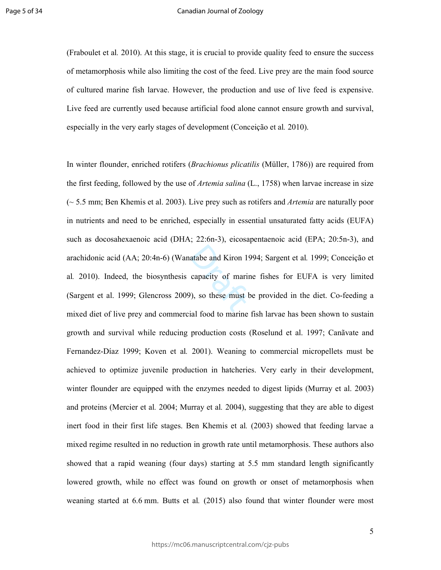#### Canadian Journal of Zoology

(Fraboulet et al*.* 2010). At this stage, it is crucial to provide quality feed to ensure the success of metamorphosis while also limiting the cost of the feed. Live prey are the main food source of cultured marine fish larvae. However, the production and use of live feed is expensive. Live feed are currently used because artificial food alone cannot ensure growth and survival, especially in the very early stages of development (Conceição et al*.* 2010).

atabe and Kiron 19<br>capacity of marine In winter flounder, enriched rotifers (*Brachionus plicatilis* (Müller, 1786)) are required from the first feeding, followed by the use of *Artemia salina* (L., 1758) when larvae increase in size (~ 5.5 mm; Ben Khemis et al. 2003). Live prey such as rotifers and *Artemia* are naturally poor in nutrients and need to be enriched, especially in essential unsaturated fatty acids (EUFA) such as docosahexaenoic acid (DHA; 22:6n-3), eicosapentaenoic acid (EPA; 20:5n-3), and arachidonic acid (AA; 20:4n-6) (Wanatabe and Kiron 1994; Sargent et al*.* 1999; Conceição et al*.* 2010). Indeed, the biosynthesis capacity of marine fishes for EUFA is very limited (Sargent et al. 1999; Glencross 2009), so these must be provided in the diet. Co-feeding a mixed diet of live prey and commercial food to marine fish larvae has been shown to sustain growth and survival while reducing production costs (Roselund et al. 1997; Canãvate and Fernandez-Díaz 1999; Koven et al*.* 2001). Weaning to commercial micropellets must be achieved to optimize juvenile production in hatcheries. Very early in their development, winter flounder are equipped with the enzymes needed to digest lipids (Murray et al. 2003) and proteins (Mercier et al*.* 2004; Murray et al*.* 2004), suggesting that they are able to digest inert food in their first life stages. Ben Khemis et al*.* (2003) showed that feeding larvae a mixed regime resulted in no reduction in growth rate until metamorphosis. These authors also showed that a rapid weaning (four days) starting at 5.5 mm standard length significantly lowered growth, while no effect was found on growth or onset of metamorphosis when weaning started at 6.6 mm. Butts et al*.* (2015) also found that winter flounder were most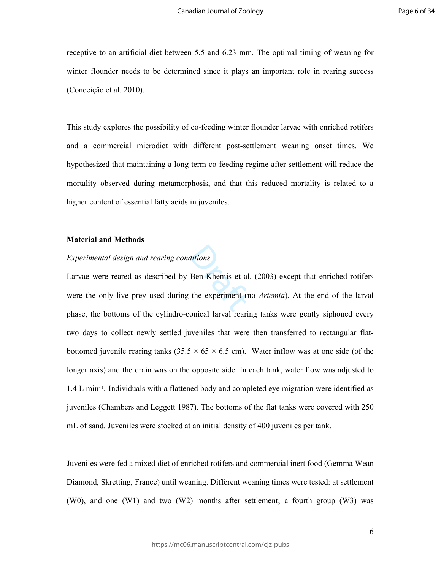receptive to an artificial diet between 5.5 and 6.23 mm. The optimal timing of weaning for winter flounder needs to be determined since it plays an important role in rearing success (Conceição et al*.* 2010),

This study explores the possibility of co-feeding winter flounder larvae with enriched rotifers and a commercial microdiet with different post-settlement weaning onset times. We hypothesized that maintaining a long-term co-feeding regime after settlement will reduce the mortality observed during metamorphosis, and that this reduced mortality is related to a higher content of essential fatty acids in juveniles.

### **Material and Methods**

### *Experimental design and rearing conditions*

*ditions*<br>Ben Khemis et al<br>the experiment (r Larvae were reared as described by Ben Khemis et al*.* (2003) except that enriched rotifers were the only live prey used during the experiment (no *Artemia*). At the end of the larval phase, the bottoms of the cylindro-conical larval rearing tanks were gently siphoned every two days to collect newly settled juveniles that were then transferred to rectangular flatbottomed juvenile rearing tanks ( $35.5 \times 65 \times 6.5$  cm). Water inflow was at one side (of the longer axis) and the drain was on the opposite side. In each tank, water flow was adjusted to 1.4 L min<sup>-1</sup>. Individuals with a flattened body and completed eye migration were identified as juveniles (Chambers and Leggett 1987). The bottoms of the flat tanks were covered with 250 mL of sand. Juveniles were stocked at an initial density of 400 juveniles per tank.

Juveniles were fed a mixed diet of enriched rotifers and commercial inert food (Gemma Wean Diamond, Skretting, France) until weaning. Different weaning times were tested: at settlement (W0), and one (W1) and two (W2) months after settlement; a fourth group (W3) was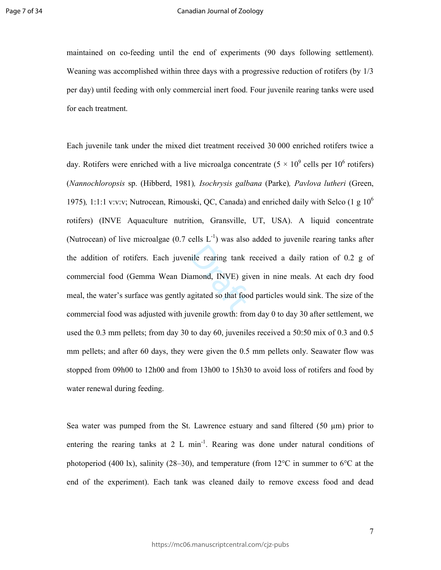#### Canadian Journal of Zoology

maintained on co-feeding until the end of experiments (90 days following settlement). Weaning was accomplished within three days with a progressive reduction of rotifers (by 1/3 per day) until feeding with only commercial inert food. Four juvenile rearing tanks were used for each treatment.

ile rearing tank<br>amond, INVE) gives<br>gitated so that foo Each juvenile tank under the mixed diet treatment received 30 000 enriched rotifers twice a day. Rotifers were enriched with a live microalga concentrate  $(5 \times 10^9 \text{ cells per } 10^6 \text{ rotifers})$ (*Nannochloropsis* sp. (Hibberd, 1981)*, Isochrysis galbana* (Parke)*, Pavlova lutheri* (Green, 1975)*,* 1:1:1 v:v:v; Nutrocean, Rimouski, QC, Canada) and enriched daily with Selco (1 g 10<sup>6</sup> rotifers) (INVE Aquaculture nutrition, Gransville, UT, USA). A liquid concentrate (Nutrocean) of live microalgae  $(0.7 \text{ cells } L^{-1})$  was also added to juvenile rearing tanks after the addition of rotifers. Each juvenile rearing tank received a daily ration of 0.2 g of commercial food (Gemma Wean Diamond, INVE) given in nine meals. At each dry food meal, the water's surface was gently agitated so that food particles would sink. The size of the commercial food was adjusted with juvenile growth: from day 0 to day 30 after settlement, we used the 0.3 mm pellets; from day 30 to day 60, juveniles received a 50:50 mix of 0.3 and 0.5 mm pellets; and after 60 days, they were given the 0.5 mm pellets only. Seawater flow was stopped from 09h00 to 12h00 and from 13h00 to 15h30 to avoid loss of rotifers and food by water renewal during feeding.

Sea water was pumped from the St. Lawrence estuary and sand filtered  $(50 \mu m)$  prior to entering the rearing tanks at 2 L min<sup>-1</sup>. Rearing was done under natural conditions of photoperiod (400 lx), salinity (28–30), and temperature (from 12°C in summer to 6°C at the end of the experiment). Each tank was cleaned daily to remove excess food and dead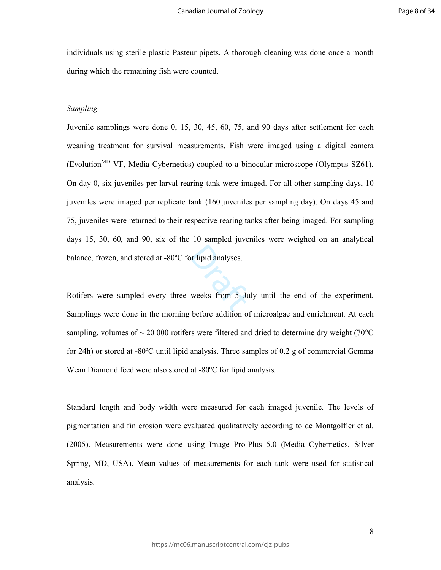individuals using sterile plastic Pasteur pipets. A thorough cleaning was done once a month during which the remaining fish were counted.

### *Sampling*

Juvenile samplings were done 0, 15, 30, 45, 60, 75, and 90 days after settlement for each weaning treatment for survival measurements. Fish were imaged using a digital camera  $(Evolution<sup>MD</sup> VF, Media Cybernetics) coupled to a binocular microscope (Olympus SZ61).$ On day 0, six juveniles per larval rearing tank were imaged. For all other sampling days, 10 juveniles were imaged per replicate tank (160 juveniles per sampling day). On days 45 and 75, juveniles were returned to their respective rearing tanks after being imaged. For sampling days 15, 30, 60, and 90, six of the 10 sampled juveniles were weighed on an analytical balance, frozen, and stored at -80ºC for lipid analyses.

or lipid analyses.<br>weeks from 5 Ju Rotifers were sampled every three weeks from 5 July until the end of the experiment. Samplings were done in the morning before addition of microalgae and enrichment. At each sampling, volumes of  $\sim$  20 000 rotifers were filtered and dried to determine dry weight (70 $^{\circ}$ C) for 24h) or stored at -80ºC until lipid analysis. Three samples of 0.2 g of commercial Gemma Wean Diamond feed were also stored at -80ºC for lipid analysis.

Standard length and body width were measured for each imaged juvenile. The levels of pigmentation and fin erosion were evaluated qualitatively according to de Montgolfier et al*.* (2005). Measurements were done using Image Pro-Plus 5.0 (Media Cybernetics, Silver Spring, MD, USA). Mean values of measurements for each tank were used for statistical analysis.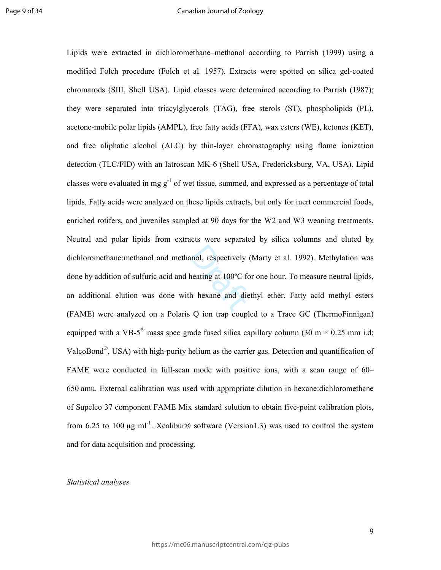a polynomial extends the hexane and diverse and diverse and diverse and diverse the contract of  $\theta$ Lipids were extracted in dichloromethane–methanol according to Parrish (1999) using a modified Folch procedure (Folch et al. 1957). Extracts were spotted on silica gel-coated chromarods (SIII, Shell USA). Lipid classes were determined according to Parrish (1987); they were separated into triacylglycerols (TAG), free sterols (ST), phospholipids (PL), acetone-mobile polar lipids (AMPL), free fatty acids (FFA), wax esters (WE), ketones (KET), and free aliphatic alcohol (ALC) by thin-layer chromatography using flame ionization detection (TLC/FID) with an Iatroscan MK-6 (Shell USA, Fredericksburg, VA, USA). Lipid classes were evaluated in mg  $g^{-1}$  of wet tissue, summed, and expressed as a percentage of total lipids. Fatty acids were analyzed on these lipids extracts, but only for inert commercial foods, enriched rotifers, and juveniles sampled at 90 days for the W2 and W3 weaning treatments. Neutral and polar lipids from extracts were separated by silica columns and eluted by dichloromethane:methanol and methanol, respectively (Marty et al. 1992). Methylation was done by addition of sulfuric acid and heating at 100ºC for one hour. To measure neutral lipids, an additional elution was done with hexane and diethyl ether. Fatty acid methyl esters (FAME) were analyzed on a Polaris Q ion trap coupled to a Trace GC (ThermoFinnigan) equipped with a VB-5<sup>®</sup> mass spec grade fused silica capillary column (30 m  $\times$  0.25 mm i.d; ValcoBond®, USA) with high-purity helium as the carrier gas. Detection and quantification of FAME were conducted in full-scan mode with positive ions, with a scan range of 60– 650 amu. External calibration was used with appropriate dilution in hexane:dichloromethane of Supelco 37 component FAME Mix standard solution to obtain five-point calibration plots, from 6.25 to 100  $\mu$ g ml<sup>-1</sup>. Xcalibur® software (Version1.3) was used to control the system and for data acquisition and processing.

### *Statistical analyses*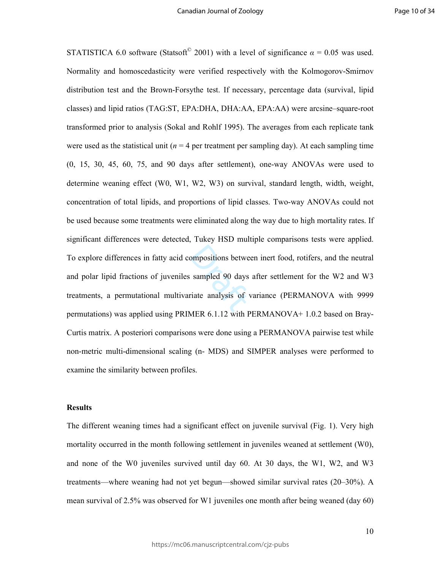ompositions betwe<br>sampled 90 days<br>riate analysis of STATISTICA 6.0 software (Statsoft<sup>©</sup> 2001) with a level of significance  $\alpha = 0.05$  was used. Normality and homoscedasticity were verified respectively with the Kolmogorov-Smirnov distribution test and the Brown-Forsythe test. If necessary, percentage data (survival, lipid classes) and lipid ratios (TAG:ST, EPA:DHA, DHA:AA, EPA:AA) were arcsine–square-root transformed prior to analysis (Sokal and Rohlf 1995). The averages from each replicate tank were used as the statistical unit ( $n = 4$  per treatment per sampling day). At each sampling time (0, 15, 30, 45, 60, 75, and 90 days after settlement), one-way ANOVAs were used to determine weaning effect (W0, W1, W2, W3) on survival, standard length, width, weight, concentration of total lipids, and proportions of lipid classes. Two-way ANOVAs could not be used because some treatments were eliminated along the way due to high mortality rates. If significant differences were detected, Tukey HSD multiple comparisons tests were applied. To explore differences in fatty acid compositions between inert food, rotifers, and the neutral and polar lipid fractions of juveniles sampled 90 days after settlement for the W2 and W3 treatments, a permutational multivariate analysis of variance (PERMANOVA with 9999 permutations) was applied using PRIMER 6.1.12 with PERMANOVA+ 1.0.2 based on Bray-Curtis matrix. A posteriori comparisons were done using a PERMANOVA pairwise test while non-metric multi-dimensional scaling (n- MDS) and SIMPER analyses were performed to examine the similarity between profiles.

# **Results**

The different weaning times had a significant effect on juvenile survival (Fig. 1). Very high mortality occurred in the month following settlement in juveniles weaned at settlement (W0), and none of the W0 juveniles survived until day 60. At 30 days, the W1, W2, and W3 treatments—where weaning had not yet begun—showed similar survival rates (20–30%). A mean survival of 2.5% was observed for W1 juveniles one month after being weaned (day 60)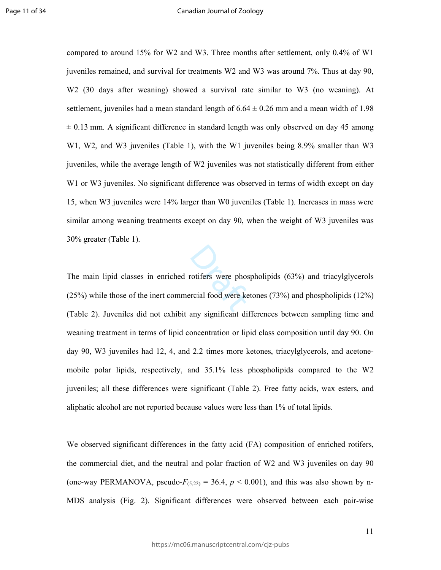compared to around 15% for W2 and W3. Three months after settlement, only 0.4% of W1 juveniles remained, and survival for treatments W2 and W3 was around 7%. Thus at day 90, W2 (30 days after weaning) showed a survival rate similar to W3 (no weaning). At settlement, juveniles had a mean standard length of  $6.64 \pm 0.26$  mm and a mean width of 1.98  $\pm$  0.13 mm. A significant difference in standard length was only observed on day 45 among W1, W2, and W3 juveniles (Table 1), with the W1 juveniles being 8.9% smaller than W3 juveniles, while the average length of W2 juveniles was not statistically different from either W<sub>1</sub> or W<sub>3</sub> juveniles. No significant difference was observed in terms of width except on day 15, when W3 juveniles were 14% larger than W0 juveniles (Table 1). Increases in mass were similar among weaning treatments except on day 90, when the weight of W3 juveniles was 30% greater (Table 1).

Ordifers were phose The main lipid classes in enriched rotifers were phospholipids (63%) and triacylglycerols (25%) while those of the inert commercial food were ketones (73%) and phospholipids (12%) (Table 2). Juveniles did not exhibit any significant differences between sampling time and weaning treatment in terms of lipid concentration or lipid class composition until day 90. On day 90, W3 juveniles had 12, 4, and 2.2 times more ketones, triacylglycerols, and acetonemobile polar lipids, respectively, and 35.1% less phospholipids compared to the W2 juveniles; all these differences were significant (Table 2). Free fatty acids, wax esters, and aliphatic alcohol are not reported because values were less than 1% of total lipids.

We observed significant differences in the fatty acid (FA) composition of enriched rotifers, the commercial diet, and the neutral and polar fraction of W2 and W3 juveniles on day 90 (one-way PERMANOVA, pseudo- $F_{(5,22)} = 36.4$ ,  $p < 0.001$ ), and this was also shown by n-MDS analysis (Fig. 2). Significant differences were observed between each pair-wise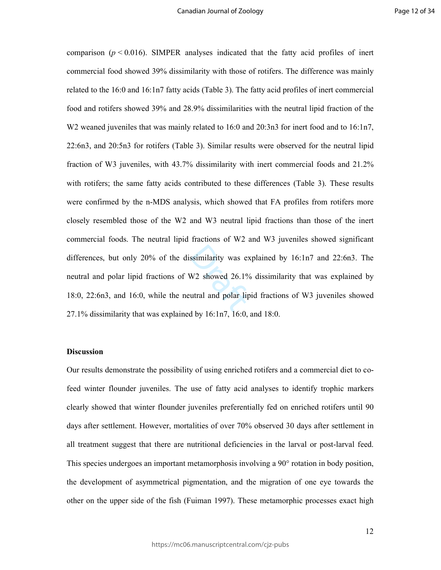ssimilarity was expanding the M2 showed 26.1%<br>utral and polar lip comparison  $(p < 0.016)$ . SIMPER analyses indicated that the fatty acid profiles of inert commercial food showed 39% dissimilarity with those of rotifers. The difference was mainly related to the 16:0 and 16:1n7 fatty acids (Table 3). The fatty acid profiles of inert commercial food and rotifers showed 39% and 28.9% dissimilarities with the neutral lipid fraction of the W<sub>2</sub> weaned juveniles that was mainly related to 16:0 and 20:3n<sub>3</sub> for inert food and to 16:1n<sup>7</sup>, 22:6n3, and 20:5n3 for rotifers (Table 3). Similar results were observed for the neutral lipid fraction of W3 juveniles, with 43.7% dissimilarity with inert commercial foods and 21.2% with rotifers; the same fatty acids contributed to these differences (Table 3). These results were confirmed by the n-MDS analysis, which showed that FA profiles from rotifers more closely resembled those of the W2 and W3 neutral lipid fractions than those of the inert commercial foods. The neutral lipid fractions of W2 and W3 juveniles showed significant differences, but only 20% of the dissimilarity was explained by 16:1n7 and 22:6n3. The neutral and polar lipid fractions of W2 showed 26.1% dissimilarity that was explained by 18:0, 22:6n3, and 16:0, while the neutral and polar lipid fractions of W3 juveniles showed 27.1% dissimilarity that was explained by 16:1n7, 16:0, and 18:0.

### **Discussion**

Our results demonstrate the possibility of using enriched rotifers and a commercial diet to cofeed winter flounder juveniles. The use of fatty acid analyses to identify trophic markers clearly showed that winter flounder juveniles preferentially fed on enriched rotifers until 90 days after settlement. However, mortalities of over 70% observed 30 days after settlement in all treatment suggest that there are nutritional deficiencies in the larval or post-larval feed. This species undergoes an important metamorphosis involving a 90° rotation in body position, the development of asymmetrical pigmentation, and the migration of one eye towards the other on the upper side of the fish (Fuiman 1997). These metamorphic processes exact high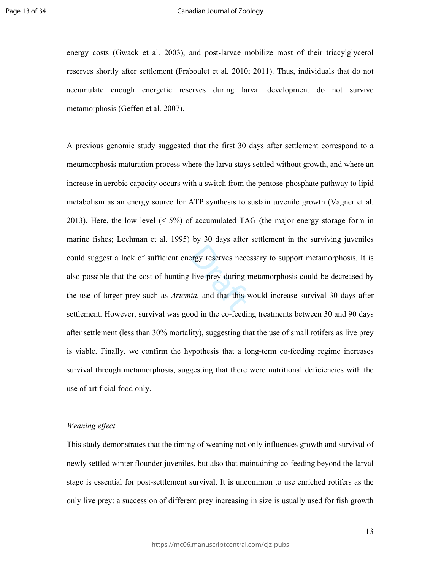### Canadian Journal of Zoology

energy costs (Gwack et al. 2003), and post-larvae mobilize most of their triacylglycerol reserves shortly after settlement (Fraboulet et al*.* 2010; 2011). Thus, individuals that do not accumulate enough energetic reserves during larval development do not survive metamorphosis (Geffen et al. 2007).

Example 1 and the term of the term of the term of the term of the term of the term of the term of the term of the term of the term of the term of the term of the term of the term of the term of the term of the term of the A previous genomic study suggested that the first 30 days after settlement correspond to a metamorphosis maturation process where the larva stays settled without growth, and where an increase in aerobic capacity occurs with a switch from the pentose-phosphate pathway to lipid metabolism as an energy source for ATP synthesis to sustain juvenile growth (Vagner et al*.* 2013). Here, the low level (< 5%) of accumulated TAG (the major energy storage form in marine fishes; Lochman et al. 1995) by 30 days after settlement in the surviving juveniles could suggest a lack of sufficient energy reserves necessary to support metamorphosis. It is also possible that the cost of hunting live prey during metamorphosis could be decreased by the use of larger prey such as *Artemia*, and that this would increase survival 30 days after settlement. However, survival was good in the co-feeding treatments between 30 and 90 days after settlement (less than 30% mortality), suggesting that the use of small rotifers as live prey is viable. Finally, we confirm the hypothesis that a long-term co-feeding regime increases survival through metamorphosis, suggesting that there were nutritional deficiencies with the use of artificial food only.

### *Weaning effect*

This study demonstrates that the timing of weaning not only influences growth and survival of newly settled winter flounder juveniles, but also that maintaining co-feeding beyond the larval stage is essential for post-settlement survival. It is uncommon to use enriched rotifers as the only live prey: a succession of different prey increasing in size is usually used for fish growth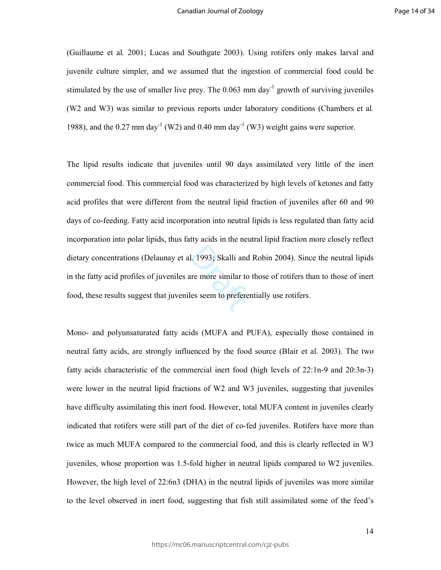(Guillaume et al*.* 2001; Lucas and Southgate 2003). Using rotifers only makes larval and juvenile culture simpler, and we assumed that the ingestion of commercial food could be stimulated by the use of smaller live prey. The  $0.063$  mm day<sup>-1</sup> growth of surviving juveniles (W2 and W3) was similar to previous reports under laboratory conditions (Chambers et al*.* 1988), and the  $0.27 \text{ mm day}^1$  (W2) and  $0.40 \text{ mm day}^1$  (W3) weight gains were superior.

I. 1993; Skalli and<br>tre more similar to<br>es seem to prefere The lipid results indicate that juveniles until 90 days assimilated very little of the inert commercial food. This commercial food was characterized by high levels of ketones and fatty acid profiles that were different from the neutral lipid fraction of juveniles after 60 and 90 days of co-feeding. Fatty acid incorporation into neutral lipids is less regulated than fatty acid incorporation into polar lipids, thus fatty acids in the neutral lipid fraction more closely reflect dietary concentrations (Delaunay et al*.* 1993; Skalli and Robin 2004). Since the neutral lipids in the fatty acid profiles of juveniles are more similar to those of rotifers than to those of inert food, these results suggest that juveniles seem to preferentially use rotifers.

Mono- and polyunsaturated fatty acids (MUFA and PUFA), especially those contained in neutral fatty acids, are strongly influenced by the food source (Blair et al*.* 2003). The two fatty acids characteristic of the commercial inert food (high levels of 22:1n-9 and 20:3n-3) were lower in the neutral lipid fractions of W2 and W3 juveniles, suggesting that juveniles have difficulty assimilating this inert food. However, total MUFA content in juveniles clearly indicated that rotifers were still part of the diet of co-fed juveniles. Rotifers have more than twice as much MUFA compared to the commercial food, and this is clearly reflected in W3 juveniles, whose proportion was 1.5-fold higher in neutral lipids compared to W2 juveniles. However, the high level of 22:6n3 (DHA) in the neutral lipids of juveniles was more similar to the level observed in inert food, suggesting that fish still assimilated some of the feed's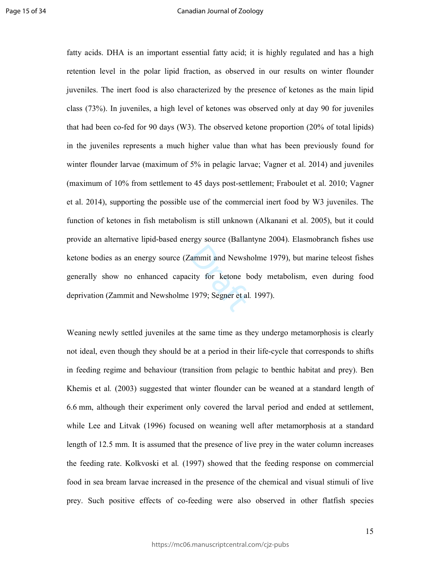ammit and Newsh<br>
ity for ketone b<br>
1979; Segner et al fatty acids. DHA is an important essential fatty acid; it is highly regulated and has a high retention level in the polar lipid fraction, as observed in our results on winter flounder juveniles. The inert food is also characterized by the presence of ketones as the main lipid class (73%). In juveniles, a high level of ketones was observed only at day 90 for juveniles that had been co-fed for 90 days (W3). The observed ketone proportion (20% of total lipids) in the juveniles represents a much higher value than what has been previously found for winter flounder larvae (maximum of 5% in pelagic larvae; Vagner et al. 2014) and juveniles (maximum of 10% from settlement to 45 days post-settlement; Fraboulet et al. 2010; Vagner et al. 2014), supporting the possible use of the commercial inert food by W3 juveniles. The function of ketones in fish metabolism is still unknown (Alkanani et al. 2005), but it could provide an alternative lipid-based energy source (Ballantyne 2004). Elasmobranch fishes use ketone bodies as an energy source (Zammit and Newsholme 1979), but marine teleost fishes generally show no enhanced capacity for ketone body metabolism, even during food deprivation (Zammit and Newsholme 1979; Segner et al*.* 1997).

Weaning newly settled juveniles at the same time as they undergo metamorphosis is clearly not ideal, even though they should be at a period in their life-cycle that corresponds to shifts in feeding regime and behaviour (transition from pelagic to benthic habitat and prey). Ben Khemis et al*.* (2003) suggested that winter flounder can be weaned at a standard length of 6.6 mm, although their experiment only covered the larval period and ended at settlement, while Lee and Litvak (1996) focused on weaning well after metamorphosis at a standard length of 12.5 mm. It is assumed that the presence of live prey in the water column increases the feeding rate. Kolkvoski et al*.* (1997) showed that the feeding response on commercial food in sea bream larvae increased in the presence of the chemical and visual stimuli of live prey. Such positive effects of co-feeding were also observed in other flatfish species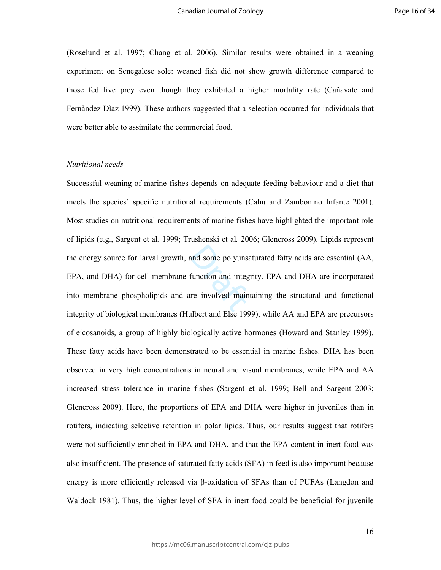(Roselund et al. 1997; Chang et al*.* 2006). Similar results were obtained in a weaning experiment on Senegalese sole: weaned fish did not show growth difference compared to those fed live prey even though they exhibited a higher mortality rate (Cañavate and Fernàndez-Dìaz 1999). These authors suggested that a selection occurred for individuals that were better able to assimilate the commercial food.

### *Nutritional needs*

and some polyuns<br>function and integre<br>re involved main Successful weaning of marine fishes depends on adequate feeding behaviour and a diet that meets the species' specific nutritional requirements (Cahu and Zambonino Infante 2001). Most studies on nutritional requirements of marine fishes have highlighted the important role of lipids (e.g., Sargent et al*.* 1999; Trushenski et al*.* 2006; Glencross 2009). Lipids represent the energy source for larval growth, and some polyunsaturated fatty acids are essential (AA, EPA, and DHA) for cell membrane function and integrity. EPA and DHA are incorporated into membrane phospholipids and are involved maintaining the structural and functional integrity of biological membranes (Hulbert and Else 1999), while AA and EPA are precursors of eicosanoids, a group of highly biologically active hormones (Howard and Stanley 1999). These fatty acids have been demonstrated to be essential in marine fishes. DHA has been observed in very high concentrations in neural and visual membranes, while EPA and AA increased stress tolerance in marine fishes (Sargent et al. 1999; Bell and Sargent 2003; Glencross 2009). Here, the proportions of EPA and DHA were higher in juveniles than in rotifers, indicating selective retention in polar lipids. Thus, our results suggest that rotifers were not sufficiently enriched in EPA and DHA, and that the EPA content in inert food was also insufficient. The presence of saturated fatty acids (SFA) in feed is also important because energy is more efficiently released via β-oxidation of SFAs than of PUFAs (Langdon and Waldock 1981). Thus, the higher level of SFA in inert food could be beneficial for juvenile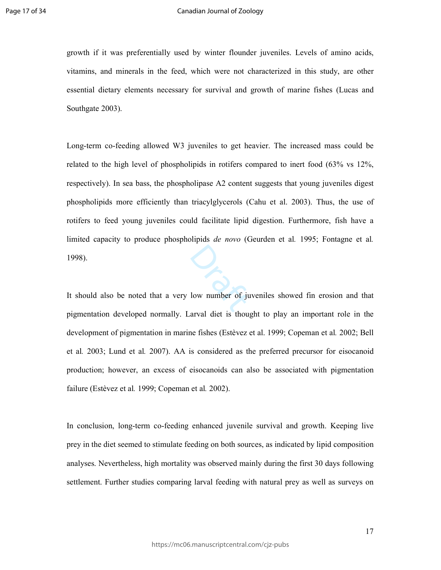growth if it was preferentially used by winter flounder juveniles. Levels of amino acids, vitamins, and minerals in the feed, which were not characterized in this study, are other essential dietary elements necessary for survival and growth of marine fishes (Lucas and Southgate 2003).

Long-term co-feeding allowed W3 juveniles to get heavier. The increased mass could be related to the high level of phospholipids in rotifers compared to inert food (63% vs 12%, respectively). In sea bass, the phospholipase A2 content suggests that young juveniles digest phospholipids more efficiently than triacylglycerols (Cahu et al. 2003). Thus, the use of rotifers to feed young juveniles could facilitate lipid digestion. Furthermore, fish have a limited capacity to produce phospholipids *de novo* (Geurden et al*.* 1995; Fontagne et al*.* 1998).

O New number of ju It should also be noted that a very low number of juveniles showed fin erosion and that pigmentation developed normally. Larval diet is thought to play an important role in the development of pigmentation in marine fishes (Estèvez et al. 1999; Copeman et al*.* 2002; Bell et al*.* 2003; Lund et al*.* 2007). AA is considered as the preferred precursor for eisocanoid production; however, an excess of eisocanoids can also be associated with pigmentation failure (Estèvez et al*.* 1999; Copeman et al*.* 2002).

In conclusion, long-term co-feeding enhanced juvenile survival and growth. Keeping live prey in the diet seemed to stimulate feeding on both sources, as indicated by lipid composition analyses. Nevertheless, high mortality was observed mainly during the first 30 days following settlement. Further studies comparing larval feeding with natural prey as well as surveys on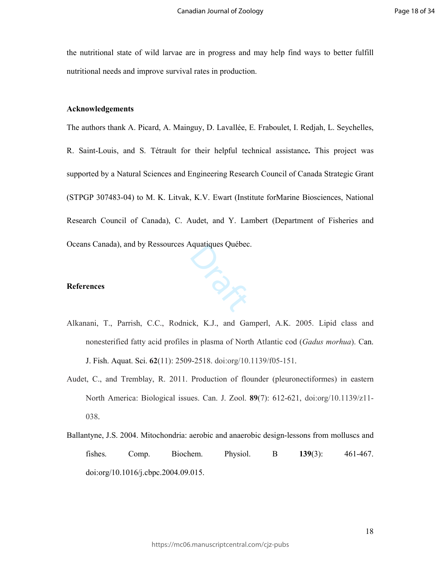the nutritional state of wild larvae are in progress and may help find ways to better fulfill nutritional needs and improve survival rates in production.

### **Acknowledgements**

The authors thank A. Picard, A. Mainguy, D. Lavallée, E. Fraboulet, I. Redjah, L. Seychelles, R. Saint-Louis, and S. Tétrault for their helpful technical assistance**.** This project was supported by a Natural Sciences and Engineering Research Council of Canada Strategic Grant (STPGP 307483-04) to M. K. Litvak, K.V. Ewart (Institute forMarine Biosciences, National Research Council of Canada), C. Audet, and Y. Lambert (Department of Fisheries and Oceans Canada), and by Ressources Aquatiques Québec.

# **References**

Alkanani, T., Parrish, C.C., Rodnick, K.J., and Gamperl, A.K. 2005. Lipid class and nonesterified fatty acid profiles in plasma of North Atlantic cod (*Gadus morhua*). Can. J. Fish. Aquat. Sci. **62**(11): 2509-2518. doi:org/10.1139/f05-151.

**Draft** 

- Audet, C., and Tremblay, R. 2011. Production of flounder (pleuronectiformes) in eastern North America: Biological issues. Can. J. Zool. **89**(7): 612-621, doi:org/10.1139/z11- 038.
- Ballantyne, J.S. 2004. Mitochondria: aerobic and anaerobic design-lessons from molluscs and fishes. Comp. Biochem. Physiol. B **139**(3): 461-467. doi:org/10.1016/j.cbpc.2004.09.015.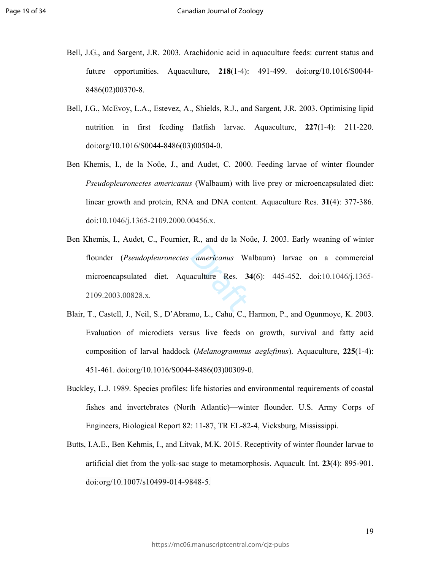- Bell, J.G., and Sargent, J.R. 2003. Arachidonic acid in aquaculture feeds: current status and future opportunities. Aquaculture, **218**(1-4): 491-499. doi:org/10.1016/S0044- 8486(02)00370-8.
- Bell, J.G., McEvoy, L.A., Estevez, A., Shields, R.J., and Sargent, J.R. 2003. Optimising lipid nutrition in first feeding flatfish larvae. Aquaculture, **227**(1-4): 211-220. doi:org/10.1016/S0044-8486(03)00504-0.
- Ben Khemis, I., de la Noüe, J., and Audet, C. 2000. Feeding larvae of winter flounder *Pseudopleuronectes americanus* (Walbaum) with live prey or microencapsulated diet: linear growth and protein, RNA and DNA content. Aquaculture Res. **31**(4): 377-386. doi:10.1046/j.1365-2109.2000.00456.x.
- americanus Wi<br>
aculture Res. 3 Ben Khemis, I., Audet, C., Fournier, R., and de la Noüe, J. 2003. Early weaning of winter flounder (*Pseudopleuronectes americanus* Walbaum) larvae on a commercial microencapsulated diet. Aquaculture Res. **34**(6): 445-452. doi:10.1046/j.1365- 2109.2003.00828.x.
- Blair, T., Castell, J., Neil, S., D'Abramo, L., Cahu, C., Harmon, P., and Ogunmoye, K. 2003. Evaluation of microdiets versus live feeds on growth, survival and fatty acid composition of larval haddock (*Melanogrammus aeglefinus*). Aquaculture, **225**(1-4): 451-461. doi:org/10.1016/S0044-8486(03)00309-0.
- Buckley, L.J. 1989. Species profiles: life histories and environmental requirements of coastal fishes and invertebrates (North Atlantic)—winter flounder. U.S. Army Corps of Engineers, Biological Report 82: 11-87, TR EL-82-4, Vicksburg, Mississippi.
- Butts, I.A.E., Ben Kehmis, I., and Litvak, M.K. 2015. Receptivity of winter flounder larvae to artificial diet from the yolk-sac stage to metamorphosis. Aquacult. Int. **23**(4): 895-901. doi:org/10.1007/s10499-014-9848-5.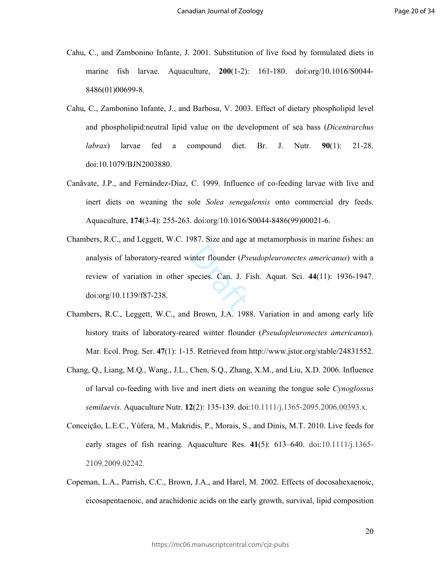- Cahu, C., and Zambonino Infante, J. 2001. Substitution of live food by formulated diets in marine fish larvae. Aquaculture, **200**(1-2): 161-180. doi:org/10.1016/S0044- 8486(01)00699-8.
- Cahu, C., Zambonino Infante, J., and Barbosa, V. 2003. Effect of dietary phospholipid level and phospholipid:neutral lipid value on the development of sea bass (*Dicentrarchus labrax*) larvae fed a compound diet. Br. J. Nutr. **90**(1): 21-28. doi:10.1079/BJN2003880.
- Canãvate, J.P., and Fernández-Díaz, C. 1999. Influence of co-feeding larvae with live and inert diets on weaning the sole *Solea senegalensis* onto commercial dry feeds. Aquaculture, **174**(3-4): 255-263. doi:org/10.1016/S0044-8486(99)00021-6.
- inter flounder (Ps.<br>pecies. Can. J. F. Chambers, R.C., and Leggett, W.C. 1987. Size and age at metamorphosis in marine fishes: an analysis of laboratory-reared winter flounder (*Pseudopleuronectes americanus*) with a review of variation in other species. Can. J. Fish. Aquat. Sci. **44**(11): 1936-1947. doi:org/10.1139/f87-238.
- Chambers, R.C., Leggett, W.C., and Brown, J.A. 1988. Variation in and among early life history traits of laboratory-reared winter flounder (*Pseudopleuronectes americanus*). Mar. Ecol. Prog. Ser. **47**(1): 1-15. Retrieved from http://www.jstor.org/stable/24831552.
- Chang, Q., Liang, M.Q., Wang., J.L., Chen, S.Q., Zhang, X.M., and Liu, X.D. 2006. Influence of larval co-feeding with live and inert diets on weaning the tongue sole *Cynoglossus semilaevis.* Aquaculture Nutr. **12**(2): 135-139. doi:10.1111/j.1365-2095.2006.00393.x.
- Conceição, L.E.C., Yúfera, M., Makridis, P., Morais, S., and Dinis, M.T. 2010. Live feeds for early stages of fish rearing. Aquaculture Res. **41**(5): 613–640. doi:10.1111/j.1365- 2109.2009.02242.
- Copeman, L.A., Parrish, C.C., Brown, J.A., and Harel, M. 2002. Effects of docosahexaenoic, eicosapentaenoic, and arachidonic acids on the early growth, survival, lipid composition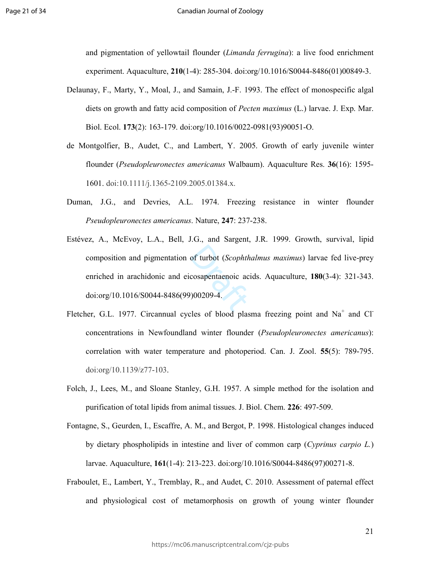and pigmentation of yellowtail flounder (*Limanda ferrugina*): a live food enrichment experiment. Aquaculture, **210**(1-4): 285-304. doi:org/10.1016/S0044-8486(01)00849-3.

- Delaunay, F., Marty, Y., Moal, J., and Samain, J.-F. 1993. The effect of monospecific algal diets on growth and fatty acid composition of *Pecten maximus* (L.) larvae. J. Exp. Mar. Biol. Ecol. **173**(2): 163-179. doi:org/10.1016/0022-0981(93)90051-O.
- de Montgolfier, B., Audet, C., and Lambert, Y. 2005. Growth of early juvenile winter flounder (*Pseudopleuronectes americanus* Walbaum). Aquaculture Res. **36**(16): 1595- 1601. doi:10.1111/j.1365-2109.2005.01384.x.
- Duman, J.G., and Devries, A.L. 1974. Freezing resistance in winter flounder *Pseudopleuronectes americanus*. Nature, **247**: 237-238.
- of turbot (Scophth<br>cosapentaenoic ac<br>000209-4. Estévez, A., McEvoy, L.A., Bell, J.G., and Sargent, J.R. 1999. Growth, survival, lipid composition and pigmentation of turbot (*Scophthalmus maximus*) larvae fed live-prey enriched in arachidonic and eicosapentaenoic acids. Aquaculture, **180**(3-4): 321-343. doi:org/10.1016/S0044-8486(99)00209-4.
- Fletcher, G.L. 1977. Circannual cycles of blood plasma freezing point and  $Na<sup>+</sup>$  and Cl concentrations in Newfoundland winter flounder (*Pseudopleuronectes americanus*): correlation with water temperature and photoperiod. Can. J. Zool. **55**(5): 789-795. doi:org/10.1139/z77-103.
- Folch, J., Lees, M., and Sloane Stanley, G.H. 1957. A simple method for the isolation and purification of total lipids from animal tissues. J. Biol. Chem. **226**: 497-509.
- Fontagne, S., Geurden, I., Escaffre, A. M., and Bergot, P. 1998. Histological changes induced by dietary phospholipids in intestine and liver of common carp (*Cyprinus carpio L.*) larvae. Aquaculture, **161**(1-4): 213-223. doi:org/10.1016/S0044-8486(97)00271-8.
- Fraboulet, E., Lambert, Y., Tremblay, R., and Audet, C. 2010. Assessment of paternal effect and physiological cost of metamorphosis on growth of young winter flounder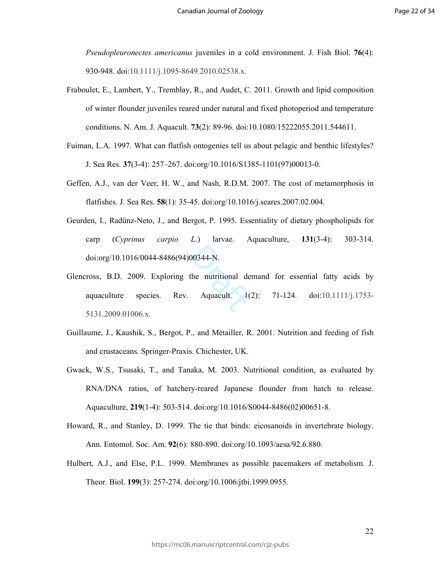*Pseudopleuronectes americanus* juveniles in a cold environment. J. Fish Biol. **76**(4): 930-948. doi:10.1111/j.1095-8649.2010.02538.x.

- Fraboulet, E., Lambert, Y., Tremblay, R., and Audet, C. 2011. Growth and lipid composition of winter flounder juveniles reared under natural and fixed photoperiod and temperature conditions. N. Am. J. Aquacult. **73**(2): 89-96. doi:10.1080/15222055.2011.544611.
- Fuiman, L.A. 1997. What can flatfish ontogenies tell us about pelagic and benthic lifestyles? J. Sea Res. **37**(3-4): 257–267. doi:org/10.1016/S1385-1101(97)00013-0.
- Geffen, A.J., van der Veer, H. W., and Nash, R.D.M. 2007. The cost of metamorphosis in flatfishes. J. Sea Res. **58**(1): 35-45. doi:org/10.1016/j.seares.2007.02.004.
- Geurden, I., Radünz-Neto, J., and Bergot, P. 1995. Essentiality of dietary phospholipids for carp (*Cyprinus carpio L*.) larvae. Aquaculture, **131**(3-4): 303-314. doi:org/10.1016/0044-8486(94)00344-N.
- 00344-N.<br>the nutritional de<br>Aquacult. 1 Glencross, B.D. 2009. Exploring the nutritional demand for essential fatty acids by aquaculture species. Rev. Aquacult.  $1(2)$ : 71-124. doi:10.1111/j.1753-5131.2009.01006.x.
- Guillaume, J., Kaushik, S., Bergot, P., and Métailler, R. 2001. Nutrition and feeding of fish and crustaceans. Springer-Praxis. Chichester, UK.
- Gwack, W.S., Tsusaki, T., and Tanaka, M. 2003. Nutritional condition, as evaluated by RNA/DNA ratios, of hatchery-reared Japanese flounder from hatch to release. Aquaculture, **219**(1-4): 503-514. doi:org/10.1016/S0044-8486(02)00651-8.
- Howard, R., and Stanley, D. 1999. The tie that binds: eicosanoids in invertebrate biology. Ann. Entomol. Soc. Am. **92**(6): 880-890. doi:org/10.1093/aesa/92.6.880.
- Hulbert, A.J., and Else, P.L. 1999. Membranes as possible pacemakers of metabolism. J. Theor. Biol. **199**(3): 257-274. doi:org/10.1006/jtbi.1999.0955.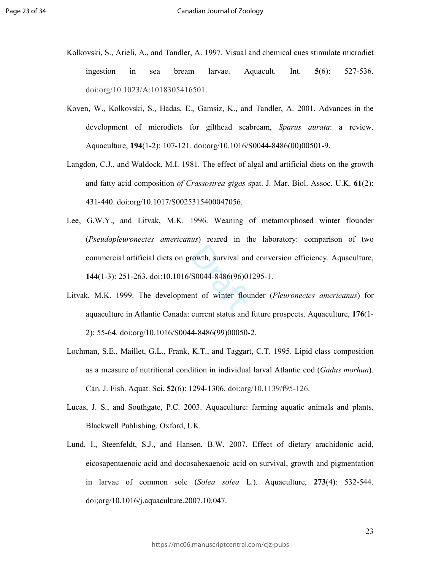- Kolkovski, S., Arieli, A., and Tandler, A. 1997. Visual and chemical cues stimulate microdiet ingestion in sea bream larvae. Aquacult. Int. **5**(6): 527-536. doi:org/10.1023/A:1018305416501.
- Koven, W., Kolkovski, S., Hadas, E., Gamsiz, K., and Tandler, A. 2001. Advances in the development of microdiets for gilthead seabream, *Sparus aurata*: a review. Aquaculture, **194**(1-2): 107-121. doi:org/10.1016/S0044-8486(00)00501-9.
- Langdon, C.J., and Waldock, M.I. 1981. The effect of algal and artificial diets on the growth and fatty acid composition *of Crassostrea gigas* spat. J. Mar. Biol. Assoc. U.K. **61**(2): 431-440. doi:org/10.1017/S0025315400047056.
- rowth, survival and<br>S0044-8486(96)0<br>ent of winter flou Lee, G.W.Y., and Litvak, M.K. 1996. Weaning of metamorphosed winter flounder (*Pseudopleuronectes americanus*) reared in the laboratory: comparison of two commercial artificial diets on growth, survival and conversion efficiency. Aquaculture, **144**(1-3): 251-263. doi:10.1016/S0044-8486(96)01295-1.
- Litvak, M.K. 1999. The development of winter flounder (*Pleuronectes americanus*) for aquaculture in Atlantic Canada: current status and future prospects. Aquaculture, **176**(1- 2): 55-64. doi:org/10.1016/S0044-8486(99)00050-2.
- Lochman, S.E., Maillet, G.L., Frank, K.T., and Taggart, C.T. 1995. Lipid class composition as a measure of nutritional condition in individual larval Atlantic cod (*Gadus morhua*). Can. J. Fish. Aquat. Sci. **52**(6): 1294-1306. doi:org/10.1139/f95-126.
- Lucas, J. S., and Southgate, P.C. 2003. Aquaculture: farming aquatic animals and plants. Blackwell Publishing. Oxford, UK.
- Lund, I., Steenfeldt, S.J., and Hansen, B.W. 2007. Effect of dietary arachidonic acid, eicosapentaenoic acid and docosahexaenoic acid on survival, growth and pigmentation in larvae of common sole (*Solea solea* L.). Aquaculture, **273**(4): 532-544. doi;org/10.1016/j.aquaculture.2007.10.047.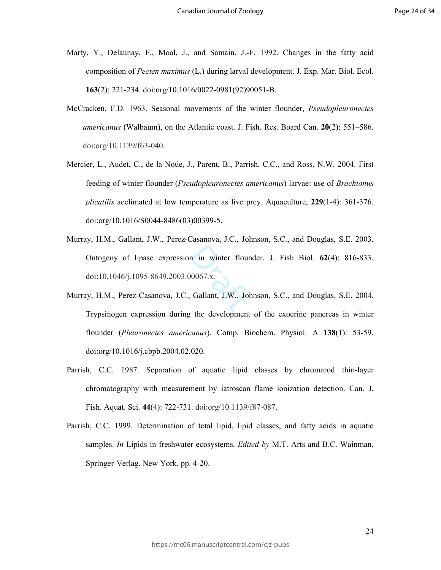- Marty, Y., Delaunay, F., Moal, J., and Samain, J.-F. 1992. Changes in the fatty acid composition of *Pecten maximus* (L.) during larval development. J. Exp. Mar. Biol. Ecol. **163**(2): 221-234. doi:org/10.1016/0022-0981(92)90051-B.
- McCracken, F.D. 1963. Seasonal movements of the winter flounder, *Pseudopleuronectes americanus* (Walbaum), on the Atlantic coast. J. Fish. Res. Board Can. **20**(2): 551–586. doi:org/10.1139/f63-040.
- Mercier, L., Audet, C., de la Noüe, J., Parent, B., Parrish, C.C., and Ross, N.W. 2004. First feeding of winter flounder (*Pseudopleuronectes americanus*) larvae: use of *Brachionus plicatilis* acclimated at low temperature as live prey. Aquaculture, **229**(1-4): 361-376. doi:org/10.1016/S0044-8486(03)00399-5.
- n in winter flour<br>00067.x.<br>Gallant, J.W., Jo Murray, H.M., Gallant, J.W., Perez-Casanova, J.C., Johnson, S.C., and Douglas, S.E. 2003. Ontogeny of lipase expression in winter flounder. J. Fish Biol. **62**(4): 816-833. doi:10.1046/j.1095-8649.2003.00067.x.
- Murray, H.M., Perez-Casanova, J.C., Gallant, J.W., Johnson, S.C., and Douglas, S.E. 2004. Trypsinogen expression during the development of the exocrine pancreas in winter flounder (*Pleuronectes americanus*). Comp. Biochem. Physiol. A **138**(1): 53-59. doi:org/10.1016/j.cbpb.2004.02.020.
- Parrish, C.C. 1987. Separation of aquatic lipid classes by chromarod thin-layer chromatography with measurement by iatroscan flame ionization detection. Can. J. Fish. Aquat. Sci. **44**(4): 722-731. doi:org/10.1139/f87-087.
- Parrish, C.C. 1999. Determination of total lipid, lipid classes, and fatty acids in aquatic samples. *In* Lipids in freshwater ecosystems. *Edited by* M.T. Arts and B.C. Wainman. Springer-Verlag. New York. pp. 4-20.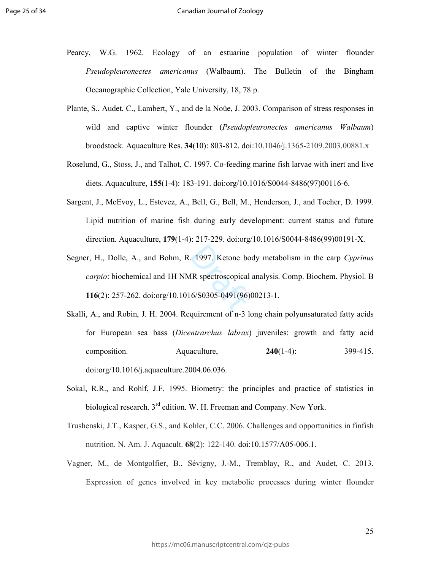- Pearcy, W.G. 1962. Ecology of an estuarine population of winter flounder *Pseudopleuronectes americanus* (Walbaum). The Bulletin of the Bingham Oceanographic Collection, Yale University, 18, 78 p.
- Plante, S., Audet, C., Lambert, Y., and de la Noüe, J. 2003. Comparison of stress responses in wild and captive winter flounder (*Pseudopleuronectes americanus Walbaum*) broodstock. Aquaculture Res. **34**(10): 803-812. doi:10.1046/j.1365-2109.2003.00881.x
- Roselund, G., Stoss, J., and Talhot, C. 1997. Co-feeding marine fish larvae with inert and live diets. Aquaculture, **155**(1-4): 183-191. doi:org/10.1016/S0044-8486(97)00116-6.
- Sargent, J., McEvoy, L., Estevez, A., Bell, G., Bell, M., Henderson, J., and Tocher, D. 1999. Lipid nutrition of marine fish during early development: current status and future direction. Aquaculture, **179**(1-4): 217-229. doi:org/10.1016/S0044-8486(99)00191-X.
- . 1997. Ketone both<br>IR spectroscopical<br>6/S0305-0491(96) Segner, H., Dolle, A., and Bohm, R. 1997. Ketone body metabolism in the carp *Cyprinus carpio*: biochemical and 1H NMR spectroscopical analysis. Comp. Biochem. Physiol. B **116**(2): 257-262. doi:org/10.1016/S0305-0491(96)00213-1.
- Skalli, A., and Robin, J. H. 2004. Requirement of n-3 long chain polyunsaturated fatty acids for European sea bass (*Dicentrarchus labrax*) juveniles: growth and fatty acid composition. Aquaculture, **240**(1-4): 399-415. doi:org/10.1016/j.aquaculture.2004.06.036.
- Sokal, R.R., and Rohlf, J.F. 1995. Biometry: the principles and practice of statistics in biological research. 3<sup>rd</sup> edition. W. H. Freeman and Company. New York.
- Trushenski, J.T., Kasper, G.S., and Kohler, C.C. 2006. Challenges and opportunities in finfish nutrition. N. Am. J. Aquacult. **68**(2): 122-140. doi:10.1577/A05-006.1.
- Vagner, M., de Montgolfier, B., Sévigny, J.-M., Tremblay, R., and Audet, C. 2013. Expression of genes involved in key metabolic processes during winter flounder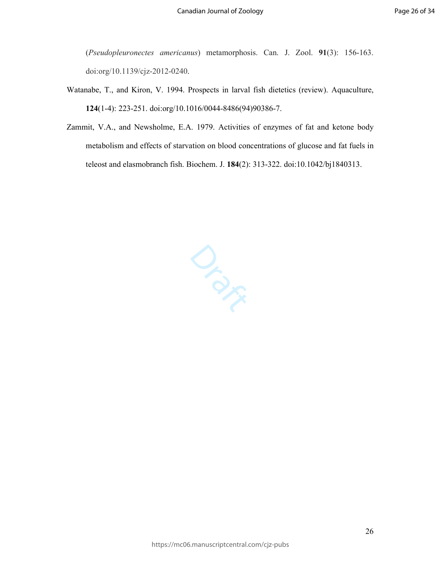(*Pseudopleuronectes americanus*) metamorphosis. Can. J. Zool. **91**(3): 156-163. doi:org/10.1139/cjz-2012-0240.

- Watanabe, T., and Kiron, V. 1994. Prospects in larval fish dietetics (review). Aquaculture, **124**(1-4): 223-251. doi:org/10.1016/0044-8486(94)90386-7.
- Zammit, V.A., and Newsholme, E.A. 1979. Activities of enzymes of fat and ketone body metabolism and effects of starvation on blood concentrations of glucose and fat fuels in teleost and elasmobranch fish. Biochem. J. **184**(2): 313-322. doi:10.1042/bj1840313.

Ora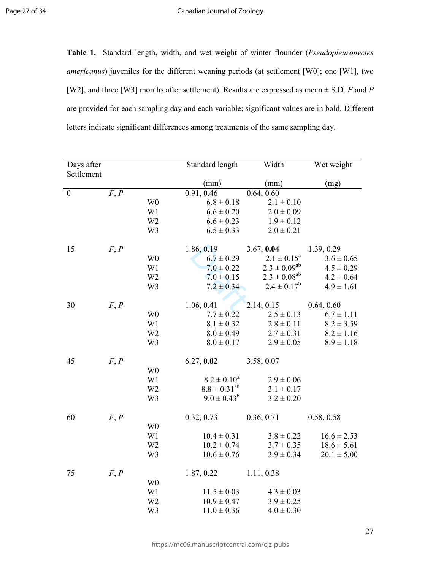**Table 1.** Standard length, width, and wet weight of winter flounder (*Pseudopleuronectes americanus*) juveniles for the different weaning periods (at settlement [W0]; one [W1], two [W2], and three [W3] months after settlement). Results are expressed as mean ± S.D. *F* and *P*  are provided for each sampling day and each variable; significant values are in bold. Different letters indicate significant differences among treatments of the same sampling day.

| Days after       |      |                | Standard length     | Width               | Wet weight      |
|------------------|------|----------------|---------------------|---------------------|-----------------|
| Settlement       |      |                |                     |                     |                 |
|                  |      |                | (mm)                | (mm)                | (mg)            |
| $\boldsymbol{0}$ | F, P |                | 0.91, 0.46          | 0.64, 0.60          |                 |
|                  |      | W <sub>0</sub> | $6.8 \pm 0.18$      | $2.1\pm0.10$        |                 |
|                  |      | W1             | $6.6 \pm 0.20$      | $2.0 \pm 0.09$      |                 |
|                  |      | W <sub>2</sub> | $6.6 \pm 0.23$      | $1.9 \pm 0.12$      |                 |
|                  |      | W3             | $6.5 \pm 0.33$      | $2.0 \pm 0.21$      |                 |
| 15               | F, P |                | 1.86, 0.19          | 3.67, 0.04          | 1.39, 0.29      |
|                  |      | W <sub>0</sub> | $6.7 \pm 0.29$      | $2.1 \pm 0.15^a$    | $3.6 \pm 0.65$  |
|                  |      | W1             | $7.0 \pm 0.22$      | $2.3 \pm 0.09^{ab}$ | $4.5 \pm 0.29$  |
|                  |      | W <sub>2</sub> | $7.0 \pm 0.15$      | $2.3 \pm 0.08^{ab}$ | $4.2 \pm 0.64$  |
|                  |      | W3             | $7.2 \pm 0.34$      | $2.4 \pm 0.17^b$    | $4.9 \pm 1.61$  |
|                  |      |                |                     |                     |                 |
| 30               | F, P |                | 1.06, 0.41          | 2.14, 0.15          | 0.64, 0.60      |
|                  |      | W <sub>0</sub> | $7.7 \pm 0.22$      | $2.5 \pm 0.13$      | $6.7 \pm 1.11$  |
|                  |      | W1             | $8.1 \pm 0.32$      | $2.8 \pm 0.11$      | $8.2 \pm 3.59$  |
|                  |      | W <sub>2</sub> | $8.0 \pm 0.49$      | $2.7 \pm 0.31$      | $8.2 \pm 1.16$  |
|                  |      | W3             | $8.0 \pm 0.17$      | $2.9 \pm 0.05$      | $8.9 \pm 1.18$  |
| 45               | F, P |                | 6.27, 0.02          | 3.58, 0.07          |                 |
|                  |      | W <sub>0</sub> |                     |                     |                 |
|                  |      | W1             | $8.2 \pm 0.10^a$    | $2.9 \pm 0.06$      |                 |
|                  |      | W <sub>2</sub> | $8.8 \pm 0.31^{ab}$ | $3.1 \pm 0.17$      |                 |
|                  |      | W3             | $9.0 \pm 0.43^b$    | $3.2 \pm 0.20$      |                 |
|                  |      |                |                     |                     |                 |
| 60               | F, P |                | 0.32, 0.73          | 0.36, 0.71          | 0.58, 0.58      |
|                  |      | W <sub>0</sub> |                     |                     |                 |
|                  |      | W1             | $10.4 \pm 0.31$     | $3.8 \pm 0.22$      | $16.6 \pm 2.53$ |
|                  |      | W <sub>2</sub> | $10.2 \pm 0.74$     | $3.7 \pm 0.35$      | $18.6 \pm 5.61$ |
|                  |      | W3             | $10.6 \pm 0.76$     | $3.9 \pm 0.34$      | $20.1 \pm 5.00$ |
| 75               | F, P |                | 1.87, 0.22          | 1.11, 0.38          |                 |
|                  |      | W <sub>0</sub> |                     |                     |                 |
|                  |      | W1             | $11.5 \pm 0.03$     | $4.3 \pm 0.03$      |                 |
|                  |      | W <sub>2</sub> | $10.9 \pm 0.47$     | $3.9 \pm 0.25$      |                 |
|                  |      | W3             | $11.0 \pm 0.36$     | $4.0 \pm 0.30$      |                 |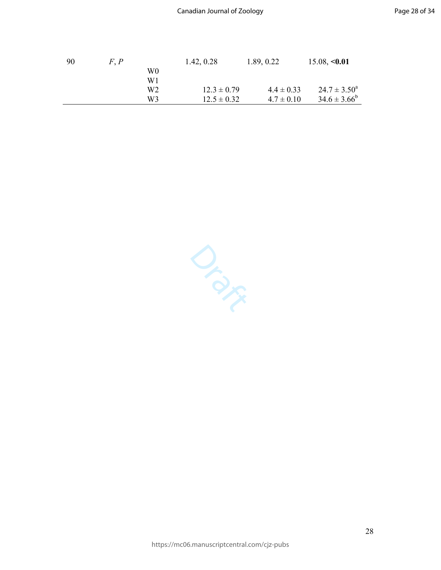| 90 | F. P |    | 1.42, 0.28      | 1.89, 0.22     | 15.08, <b>0.01</b>      |
|----|------|----|-----------------|----------------|-------------------------|
|    |      | W0 |                 |                |                         |
|    |      | W1 |                 |                |                         |
|    |      | W2 | $12.3 \pm 0.79$ | $4.4 \pm 0.33$ | $24.7 \pm 3.50^{\circ}$ |
|    |      | W3 | $12.5 \pm 0.32$ | $4.7 \pm 0.10$ | $34.6 \pm 3.66^b$       |

Org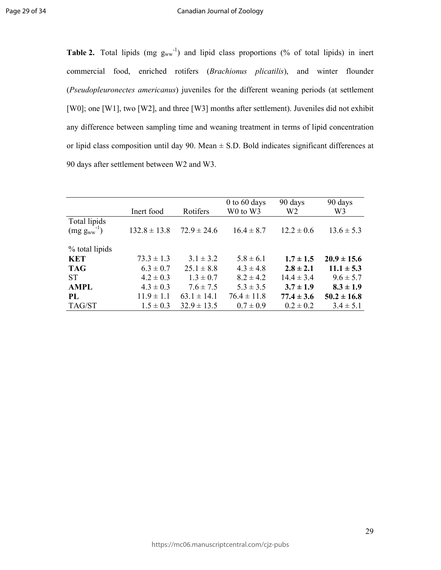**Table 2.** Total lipids  $(mg_{ww}^{-1})$  and lipid class proportions (% of total lipids) in inert commercial food, enriched rotifers (*Brachionus plicatilis*), and winter flounder (*Pseudopleuronectes americanus*) juveniles for the different weaning periods (at settlement [W0]; one [W1], two [W2], and three [W3] months after settlement). Juveniles did not exhibit any difference between sampling time and weaning treatment in terms of lipid concentration or lipid class composition until day 90. Mean ± S.D. Bold indicates significant differences at 90 days after settlement between W2 and W3.

|                    |                  |                 | 0 to 60 days                     | 90 days        | 90 days         |
|--------------------|------------------|-----------------|----------------------------------|----------------|-----------------|
|                    | Inert food       | Rotifers        | W <sub>0</sub> to W <sub>3</sub> | W <sub>2</sub> | W <sub>3</sub>  |
| Total lipids       |                  |                 |                                  |                |                 |
| $(mg g_{ww}^{-1})$ | $132.8 \pm 13.8$ | $72.9 \pm 24.6$ | $16.4 \pm 8.7$                   | $12.2 \pm 0.6$ | $13.6 \pm 5.3$  |
| % total lipids     |                  |                 |                                  |                |                 |
| <b>KET</b>         | $73.3 \pm 1.3$   | $3.1 \pm 3.2$   | $5.8 \pm 6.1$                    | $1.7 \pm 1.5$  | $20.9 \pm 15.6$ |
| <b>TAG</b>         | $6.3 \pm 0.7$    | $25.1 \pm 8.8$  | $4.3 \pm 4.8$                    | $2.8 \pm 2.1$  | $11.1 \pm 5.3$  |
| <b>ST</b>          | $4.2 \pm 0.3$    | $1.3 \pm 0.7$   | $8.2 \pm 4.2$                    | $14.4 \pm 3.4$ | $9.6 \pm 5.7$   |
| AMPL               | $4.3 \pm 0.3$    | $7.6 \pm 7.5$   | $5.3 \pm 3.5$                    | $3.7 \pm 1.9$  | $8.3 \pm 1.9$   |
| PL                 | $11.9 \pm 1.1$   | $63.1 \pm 14.1$ | $76.4 \pm 11.8$                  | $77.4 \pm 3.6$ | $50.2 \pm 16.8$ |
| TAG/ST             | $1.5 \pm 0.3$    | $32.9 \pm 13.5$ | $0.7 \pm 0.9$                    | $0.2 \pm 0.2$  | $3.4 \pm 5.1$   |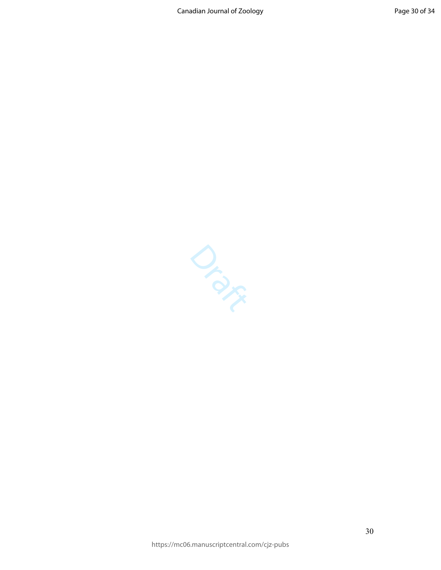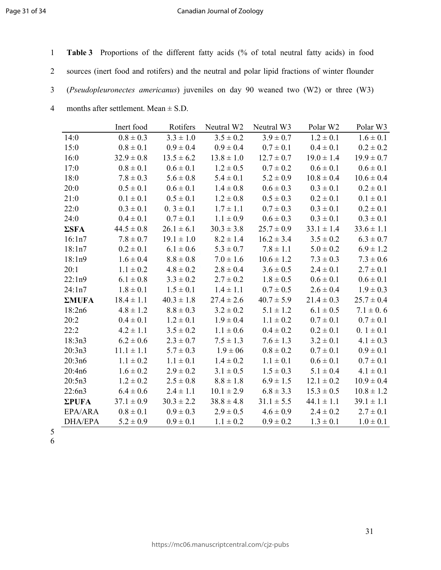Page 31 of 34

### Canadian Journal of Zoology

1 **Table 3** Proportions of the different fatty acids (% of total neutral fatty acids) in food

2 sources (inert food and rotifers) and the neutral and polar lipid fractions of winter flounder

- 3 (*Pseudopleuronectes americanus*) juveniles on day 90 weaned two (W2) or three (W3)
- 4 months after settlement. Mean  $\pm$  S.D.

|                | Inert food     | Rotifers       | Neutral W <sub>2</sub> | Neutral W3     | Polar W2       | Polar W3       |
|----------------|----------------|----------------|------------------------|----------------|----------------|----------------|
| 14:0           | $0.8 \pm 0.3$  | $3.3 \pm 1.0$  | $3.5 \pm 0.2$          | $3.9 \pm 0.7$  | $1.2 \pm 0.1$  | $1.6 \pm 0.1$  |
| 15:0           | $0.8 \pm 0.1$  | $0.9 \pm 0.4$  | $0.9 \pm 0.4$          | $0.7 \pm 0.1$  | $0.4 \pm 0.1$  | $0.2 \pm 0.2$  |
| 16:0           | $32.9 \pm 0.8$ | $13.5 \pm 6.2$ | $13.8 \pm 1.0$         | $12.7 \pm 0.7$ | $19.0 \pm 1.4$ | $19.9 \pm 0.7$ |
| 17:0           | $0.8 \pm 0.1$  | $0.6 \pm 0.1$  | $1.2 \pm 0.5$          | $0.7 \pm 0.2$  | $0.6 \pm 0.1$  | $0.6 \pm 0.1$  |
| 18:0           | $7.8 \pm 0.3$  | $5.6 \pm 0.8$  | $5.4 \pm 0.1$          | $5.2 \pm 0.9$  | $10.8 \pm 0.4$ | $10.6 \pm 0.4$ |
| 20:0           | $0.5 \pm 0.1$  | $0.6 \pm 0.1$  | $1.4 \pm 0.8$          | $0.6 \pm 0.3$  | $0.3 \pm 0.1$  | $0.2 \pm 0.1$  |
| 21:0           | $0.1 \pm 0.1$  | $0.5 \pm 0.1$  | $1.2 \pm 0.8$          | $0.5 \pm 0.3$  | $0.2 \pm 0.1$  | $0.1 \pm 0.1$  |
| 22:0           | $0.3 \pm 0.1$  | $0.3 \pm 0.1$  | $1.7 \pm 1.1$          | $0.7 \pm 0.3$  | $0.3 \pm 0.1$  | $0.2 \pm 0.1$  |
| 24:0           | $0.4 \pm 0.1$  | $0.7 \pm 0.1$  | $1.1 \pm 0.9$          | $0.6 \pm 0.3$  | $0.3 \pm 0.1$  | $0.3 \pm 0.1$  |
| $\Sigma$ SFA   | $44.5 \pm 0.8$ | $26.1 \pm 6.1$ | $30.3 \pm 3.8$         | $25.7 \pm 0.9$ | $33.1 \pm 1.4$ | $33.6 \pm 1.1$ |
| 16:1n7         | $7.8 \pm 0.7$  | $19.1 \pm 1.0$ | $8.2 \pm 1.4$          | $16.2 \pm 3.4$ | $3.5 \pm 0.2$  | $6.3 \pm 0.7$  |
| 18:1n7         | $0.2 \pm 0.1$  | $6.1 \pm 0.6$  | $5.3 \pm 0.7$          | $7.8 \pm 1.1$  | $5.0 \pm 0.2$  | $6.9 \pm 1.2$  |
| 18:1n9         | $1.6 \pm 0.4$  | $8.8 \pm 0.8$  | $7.0 \pm 1.6$          | $10.6 \pm 1.2$ | $7.3 \pm 0.3$  | $7.3 \pm 0.6$  |
| 20:1           | $1.1 \pm 0.2$  | $4.8 \pm 0.2$  | $2.8 \pm 0.4$          | $3.6 \pm 0.5$  | $2.4 \pm 0.1$  | $2.7 \pm 0.1$  |
| 22:1n9         | $6.1 \pm 0.8$  | $3.3 \pm 0.2$  | $2.7 \pm 0.2$          | $1.8 \pm 0.5$  | $0.6 \pm 0.1$  | $0.6 \pm 0.1$  |
| 24:1n7         | $1.8 \pm 0.1$  | $1.5 \pm 0.1$  | $1.4 \pm 1.1$          | $0.7 \pm 0.5$  | $2.6 \pm 0.4$  | $1.9 \pm 0.3$  |
| $\Sigma MUFA$  | $18.4 \pm 1.1$ | $40.3 \pm 1.8$ | $27.4 \pm 2.6$         | $40.7 \pm 5.9$ | $21.4 \pm 0.3$ | $25.7 \pm 0.4$ |
| 18:2n6         | $4.8 \pm 1.2$  | $8.8 \pm 0.3$  | $3.2 \pm 0.2$          | $5.1 \pm 1.2$  | $6.1 \pm 0.5$  | $7.1 \pm 0.6$  |
| 20:2           | $0.4 \pm 0.1$  | $1.2 \pm 0.1$  | $1.9 \pm 0.4$          | $1.1 \pm 0.2$  | $0.7 \pm 0.1$  | $0.7 \pm 0.1$  |
| 22:2           | $4.2 \pm 1.1$  | $3.5 \pm 0.2$  | $1.1 \pm 0.6$          | $0.4 \pm 0.2$  | $0.2 \pm 0.1$  | $0.1 \pm 0.1$  |
| 18:3n3         | $6.2 \pm 0.6$  | $2.3 \pm 0.7$  | $7.5 \pm 1.3$          | $7.6 \pm 1.3$  | $3.2 \pm 0.1$  | $4.1 \pm 0.3$  |
| 20:3n3         | $11.1 \pm 1.1$ | $5.7 \pm 0.3$  | $1.9 \pm 06$           | $0.8 \pm 0.2$  | $0.7 \pm 0.1$  | $0.9 \pm 0.1$  |
| 20:3n6         | $1.1 \pm 0.2$  | $1.1 \pm 0.1$  | $1.4 \pm 0.2$          | $1.1 \pm 0.1$  | $0.6 \pm 0.1$  | $0.7 \pm 0.1$  |
| 20:4n6         | $1.6 \pm 0.2$  | $2.9 \pm 0.2$  | $3.1 \pm 0.5$          | $1.5 \pm 0.3$  | $5.1 \pm 0.4$  | $4.1 \pm 0.1$  |
| 20:5n3         | $1.2 \pm 0.2$  | $2.5 \pm 0.8$  | $8.8 \pm 1.8$          | $6.9 \pm 1.5$  | $12.1 \pm 0.2$ | $10.9 \pm 0.4$ |
| 22:6n3         | $6.4 \pm 0.6$  | $2.4 \pm 1.1$  | $10.1 \pm 2.9$         | $6.8 \pm 3.3$  | $15.3 \pm 0.5$ | $10.8 \pm 1.2$ |
| $\Sigma$ PUFA  | $37.1 \pm 0.9$ | $30.3 \pm 2.2$ | $38.8 \pm 4.8$         | $31.1 \pm 5.5$ | $44.1 \pm 1.1$ | $39.1 \pm 1.1$ |
| EPA/ARA        | $0.8 \pm 0.1$  | $0.9 \pm 0.3$  | $2.9 \pm 0.5$          | $4.6 \pm 0.9$  | $2.4 \pm 0.2$  | $2.7 \pm 0.1$  |
| <b>DHA/EPA</b> | $5.2 \pm 0.9$  | $0.9 \pm 0.1$  | $1.1 \pm 0.2$          | $0.9 \pm 0.2$  | $1.3 \pm 0.1$  | $1.0 \pm 0.1$  |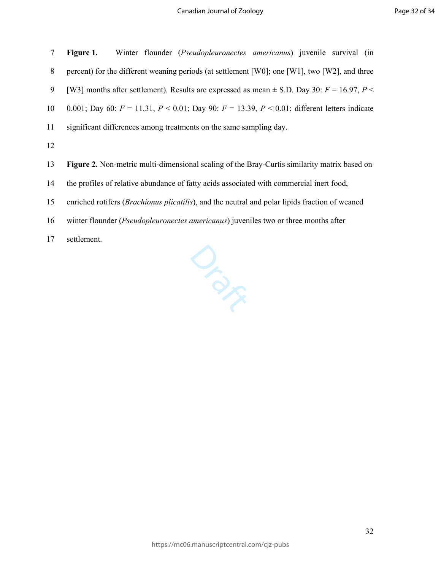7 **Figure 1.** Winter flounder (*Pseudopleuronectes americanus*) juvenile survival (in 8 percent) for the different weaning periods (at settlement [W0]; one [W1], two [W2], and three 9 [W3] months after settlement). Results are expressed as mean  $\pm$  S.D. Day 30:  $F = 16.97$ ,  $P <$ 10 0.001; Day 60: *F* = 11.31, *P* ˂ 0.01; Day 90: *F* = 13.39, *P* ˂ 0.01; different letters indicate 11 significant differences among treatments on the same sampling day. 12 13 **Figure 2.** Non-metric multi-dimensional scaling of the Bray-Curtis similarity matrix based on 14 the profiles of relative abundance of fatty acids associated with commercial inert food, 15 enriched rotifers (*Brachionus plicatilis*), and the neutral and polar lipids fraction of weaned

- 16 winter flounder (*Pseudopleuronectes americanus*) juveniles two or three months after
- 17 settlement.

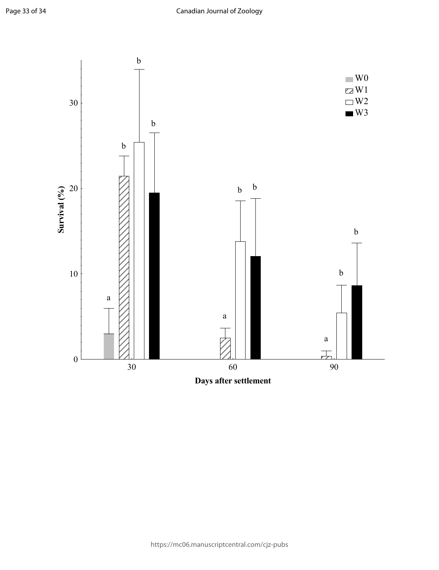